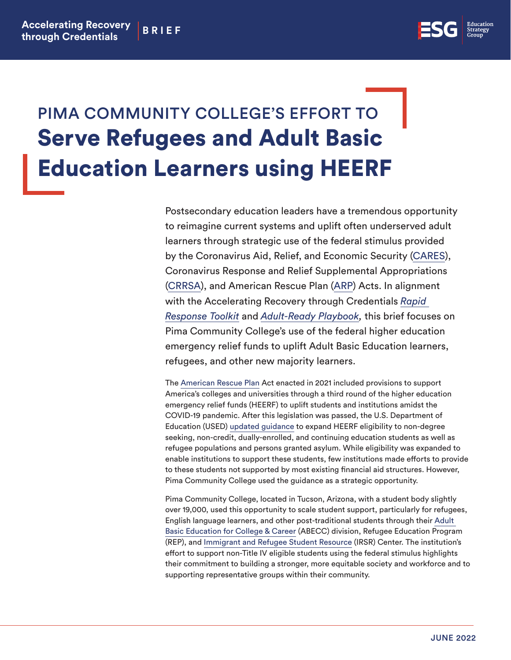

## PIMA COMMUNITY COLLEGE'S EFFORT TO Serve Refugees and Adult Basic Education Learners using HEERF

Postsecondary education leaders have a tremendous opportunity to reimagine current systems and uplift often underserved adult learners through strategic use of the federal stimulus provided by the Coronavirus Aid, Relief, and Economic Security [\(CARES](https://www2.ed.gov/about/offices/list/ope/caresact.html)), Coronavirus Response and Relief Supplemental Appropriations [\(CRRSA\)](https://www2.ed.gov/about/offices/list/ope/crrsaa.html), and American Rescue Plan [\(ARP](https://www2.ed.gov/about/offices/list/ope/arp.html)) Acts. In alignment with the Accelerating Recovery through Credentials *[Rapid](https://edstrategy.org/wp-content/uploads/2021/03/ARC_Rapid_Response_Toolkit_FINAL.pdf)  [Response Toolkit](https://edstrategy.org/wp-content/uploads/2021/03/ARC_Rapid_Response_Toolkit_FINAL.pdf)* and *[Adult-Ready Playbook,](https://docs.google.com/document/d/1y2sP7xRT0TNW8YwhJMsN-lipkgx14bO8/edit)* this brief focuses on Pima Community College's use of the federal higher education emergency relief funds to uplift Adult Basic Education learners, refugees, and other new majority learners.

The [American Rescue Plan](https://www2.ed.gov/about/offices/list/ope/arp.html) Act enacted in 2021 included provisions to support America's colleges and universities through a third round of the higher education emergency relief funds (HEERF) to uplift students and institutions amidst the COVID-19 pandemic. After this legislation was passed, the U.S. Department of Education (USED) [updated guidance](https://www2.ed.gov/about/offices/list/ope/g5updateletter31921.pdf) to expand HEERF eligibility to non-degree seeking, non-credit, dually-enrolled, and continuing education students as well as refugee populations and persons granted asylum. While eligibility was expanded to enable institutions to support these students, few institutions made efforts to provide to these students not supported by most existing financial aid structures. However, Pima Community College used the guidance as a strategic opportunity.

Pima Community College, located in Tucson, Arizona, with a student body slightly over 19,000, used this opportunity to scale student support, particularly for refugees, English language learners, and other post-traditional students through their [Adult](https://www.pima.edu/academics-programs/adult-basic-education/)  [Basic Education for College & Career](https://www.pima.edu/academics-programs/adult-basic-education/) (ABECC) division, Refugee Education Program (REP), and [Immigrant and Refugee Student Resource](https://www.pima.edu/student-resources/support-services/irsrc/index.html) (IRSR) Center. The institution's effort to support non-Title IV eligible students using the federal stimulus highlights their commitment to building a stronger, more equitable society and workforce and to supporting representative groups within their community.